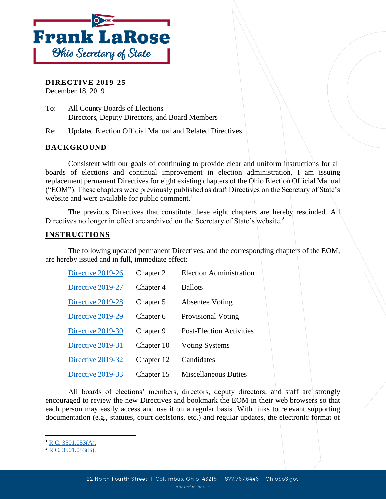

**DIRECTIVE 2019-25** December 18, 2019

To: All County Boards of Elections Directors, Deputy Directors, and Board Members

Re: Updated Election Official Manual and Related Directives

## **BACKGROUND**

Consistent with our goals of continuing to provide clear and uniform instructions for all boards of elections and continual improvement in election administration, I am issuing replacement permanent Directives for eight existing chapters of the Ohio Election Official Manual ("EOM"). These chapters were previously published as draft Directives on the Secretary of State's website and were available for public comment.<sup>1</sup>

The previous Directives that constitute these eight chapters are hereby rescinded. All Directives no longer in effect are archived on the Secretary of State's website.<sup>2</sup>

## **INSTRUCTIONS**

The following updated permanent Directives, and the corresponding chapters of the EOM, are hereby issued and in full, immediate effect:

| Directive 2019-26 | Chapter 2  | <b>Election Administration</b>  |
|-------------------|------------|---------------------------------|
| Directive 2019-27 | Chapter 4  | <b>Ballots</b>                  |
| Directive 2019-28 | Chapter 5  | <b>Absentee Voting</b>          |
| Directive 2019-29 | Chapter 6  | <b>Provisional Voting</b>       |
| Directive 2019-30 | Chapter 9  | <b>Post-Election Activities</b> |
| Directive 2019-31 | Chapter 10 | <b>Voting Systems</b>           |
| Directive 2019-32 | Chapter 12 | Candidates                      |
| Directive 2019-33 | Chapter 15 | <b>Miscellaneous Duties</b>     |

All boards of elections' members, directors, deputy directors, and staff are strongly encouraged to review the new Directives and bookmark the EOM in their web browsers so that each person may easily access and use it on a regular basis. With links to relevant supporting documentation (e.g., statutes, court decisions, etc.) and regular updates, the electronic format of

l

 $^{1}$  [R.C. 3501.053\(A\).](http://codes.ohio.gov/orc/3501.053)

 $2$  [R.C. 3501.053\(B\).](http://codes.ohio.gov/orc/3501.053)